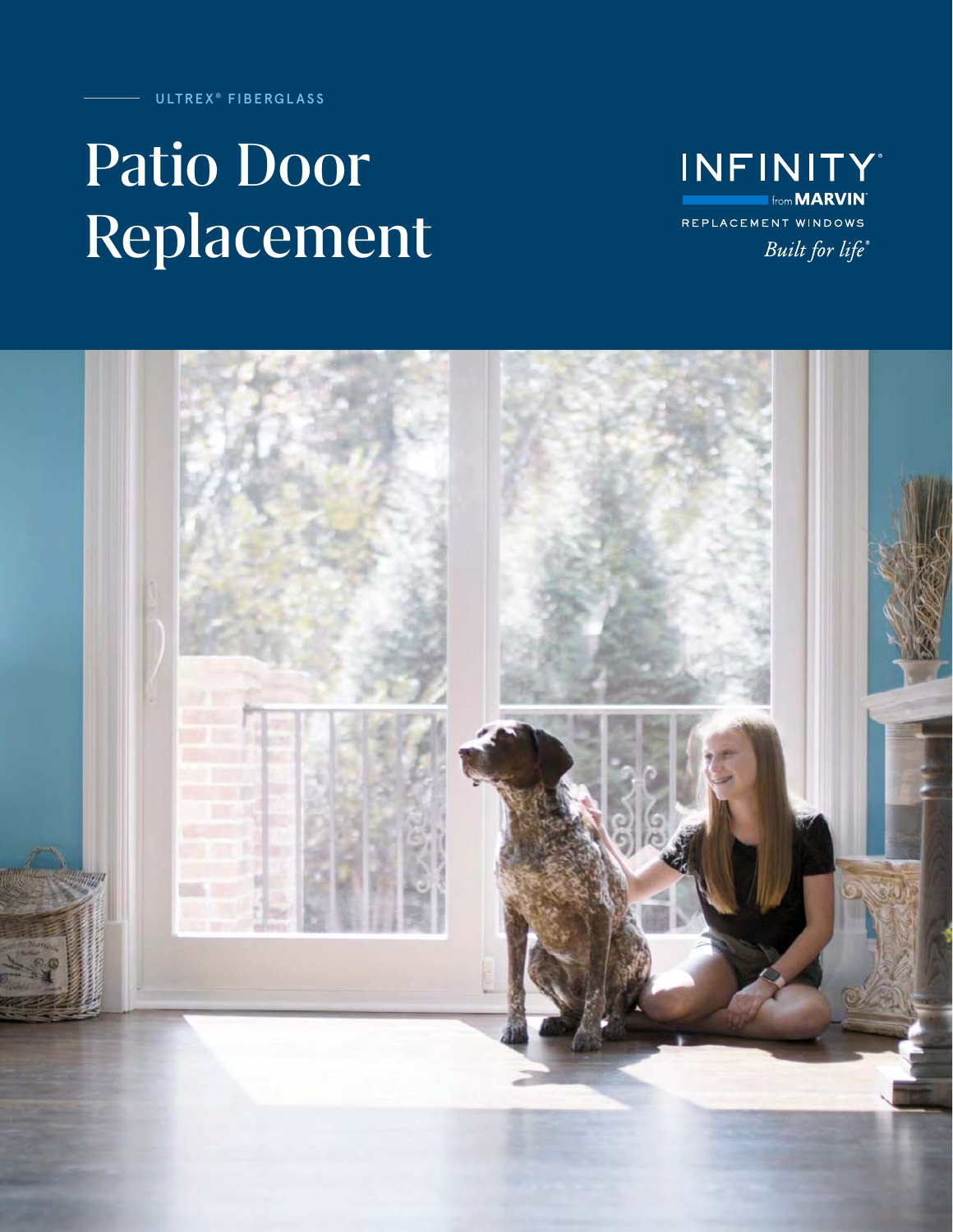ULTREX® FIBERGLASS

# Patio Door Replacement

**INFINITY Ifrom MARVIN** REPLACEMENT WINDOWS Built for life®

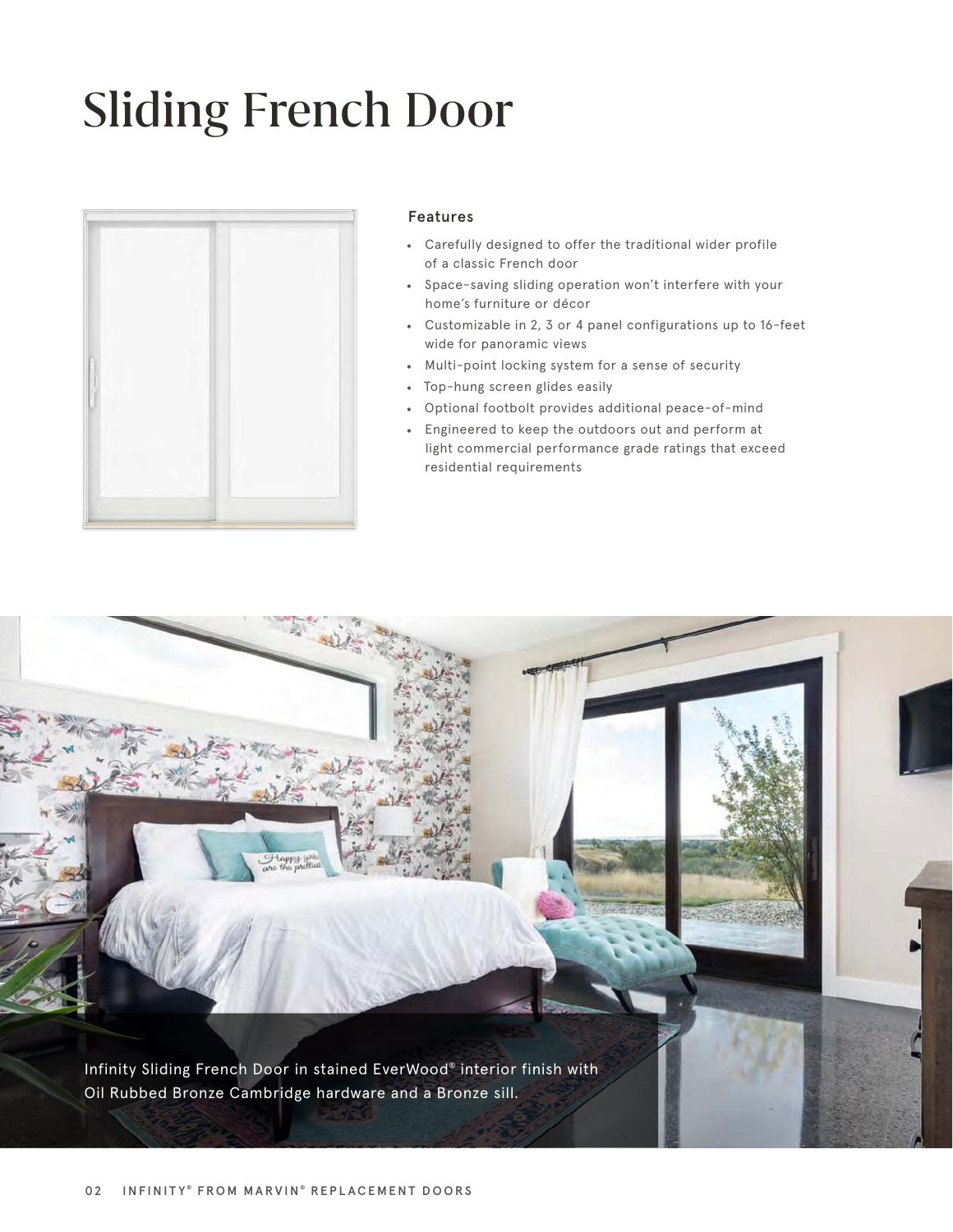## Sliding French Door



#### Features

- Carefully designed to offer the traditional wider profile of a classic French door
- Space-saving sliding operation won't interfere with your home's furniture or décor
- Customizable in 2, 3 or 4 panel configurations up to 16-feet wide for panoramic views
- Multi-point locking system for a sense of security
- Top-hung screen glides easily
- Optional footbolt provides additional peace-of-mind
- Engineered to keep the outdoors out and perform at light commercial performance grade ratings that exceed residential requirements

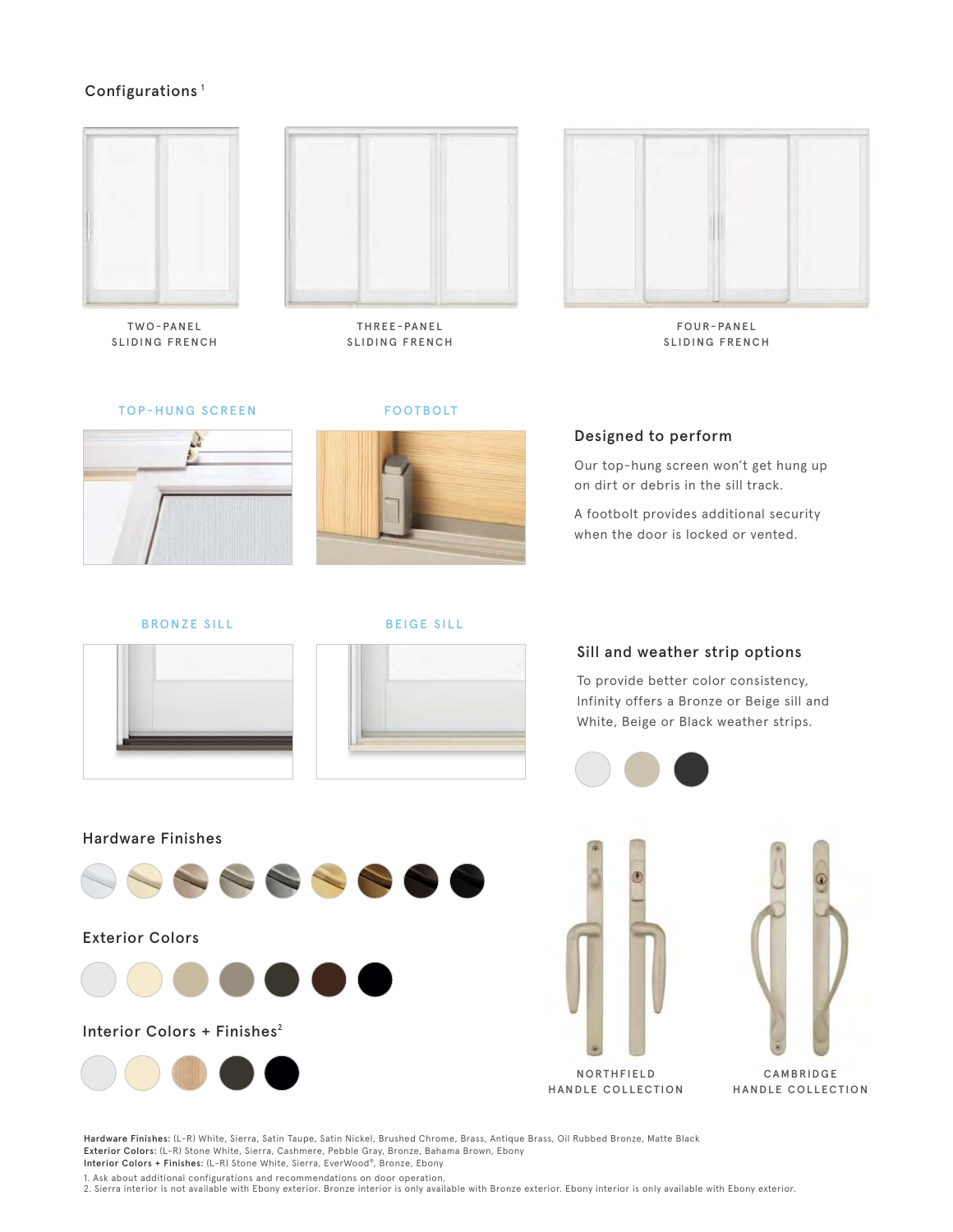#### Configurations<sup>1</sup>



TWO-PANEL SLIDING FRENCH



THREE-PANEL SLIDING FRENCH



FOUR-PANEL SLIDING FRENCH

TOP-HUNG SCREEN FOOTBOLT



BRONZE SILL BEIGE SILL





#### Designed to perform

Our top-hung screen won't get hung up on dirt or debris in the sill track.

A footbolt provides additional security when the door is locked or vented.

#### Sill and weather strip options

To provide better color consistency, Infinity offers a Bronze or Beige sill and White, Beige or Black weather strips.









**CAMBRIDGE** HANDLE COLLECTION

Hardware Finishes: (L-R) White, Sierra, Satin Taupe, Satin Nickel, Brushed Chrome, Brass, Antique Brass, Oil Rubbed Bronze, Matte Black Exterior Colors: (L-R) Stone White, Sierra, Cashmere, Pebble Gray, Bronze, Bahama Brown, Ebony Interior Colors + Finishes: (L-R) Stone White, Sierra, EverWood® , Bronze, Ebony

1. Ask about additional configurations and recommendations on door operation.

2. Sierra interior is not available with Ebony exterior. Bronze interior is only available with Bronze exterior. Ebony interior is only available with Ebony exterior.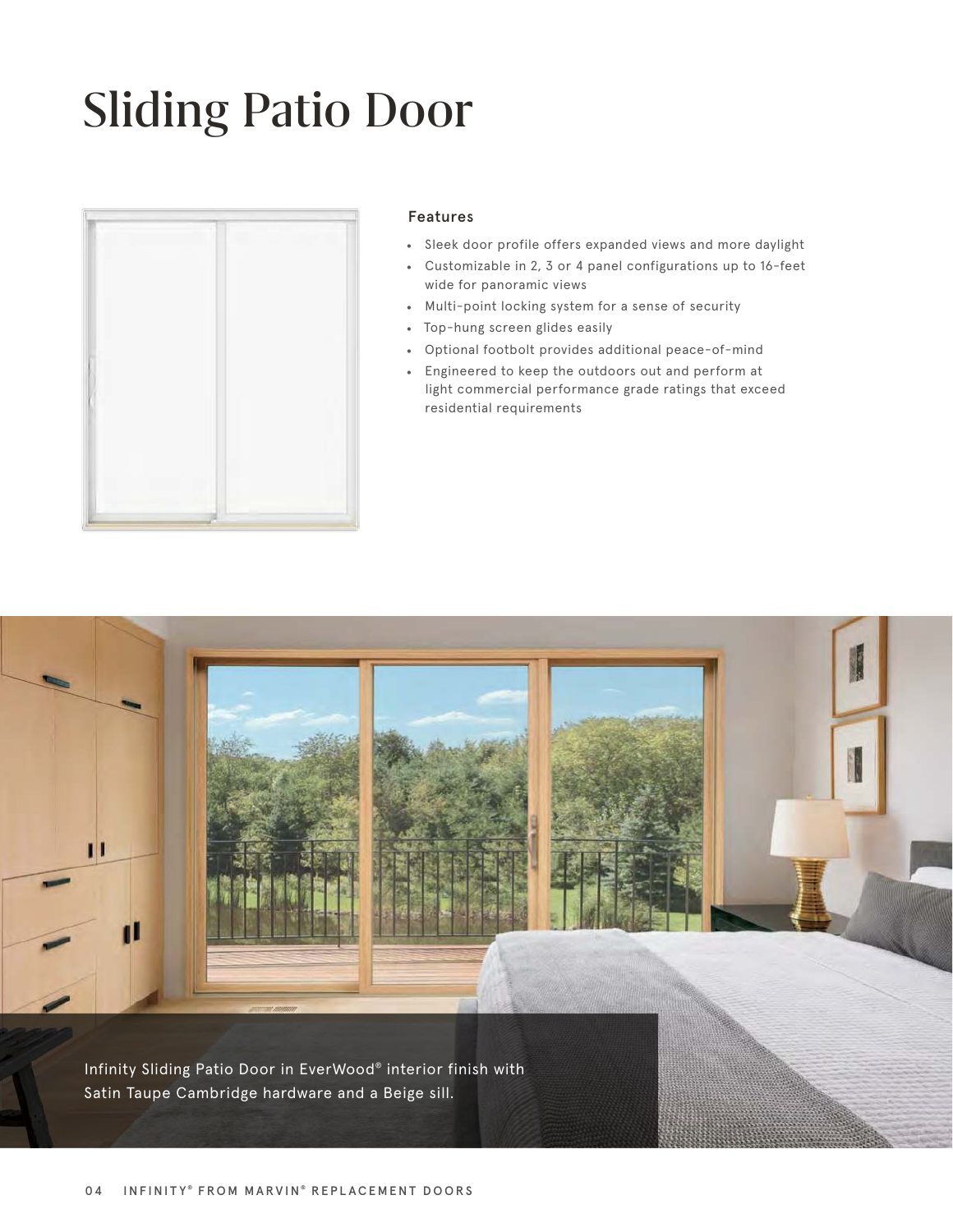## Sliding Patio Door



#### Features

- Sleek door profile offers expanded views and more daylight
- Customizable in 2, 3 or 4 panel configurations up to 16-feet wide for panoramic views
- Multi-point locking system for a sense of security
- Top-hung screen glides easily
- Optional footbolt provides additional peace-of-mind
- Engineered to keep the outdoors out and perform at light commercial performance grade ratings that exceed residential requirements

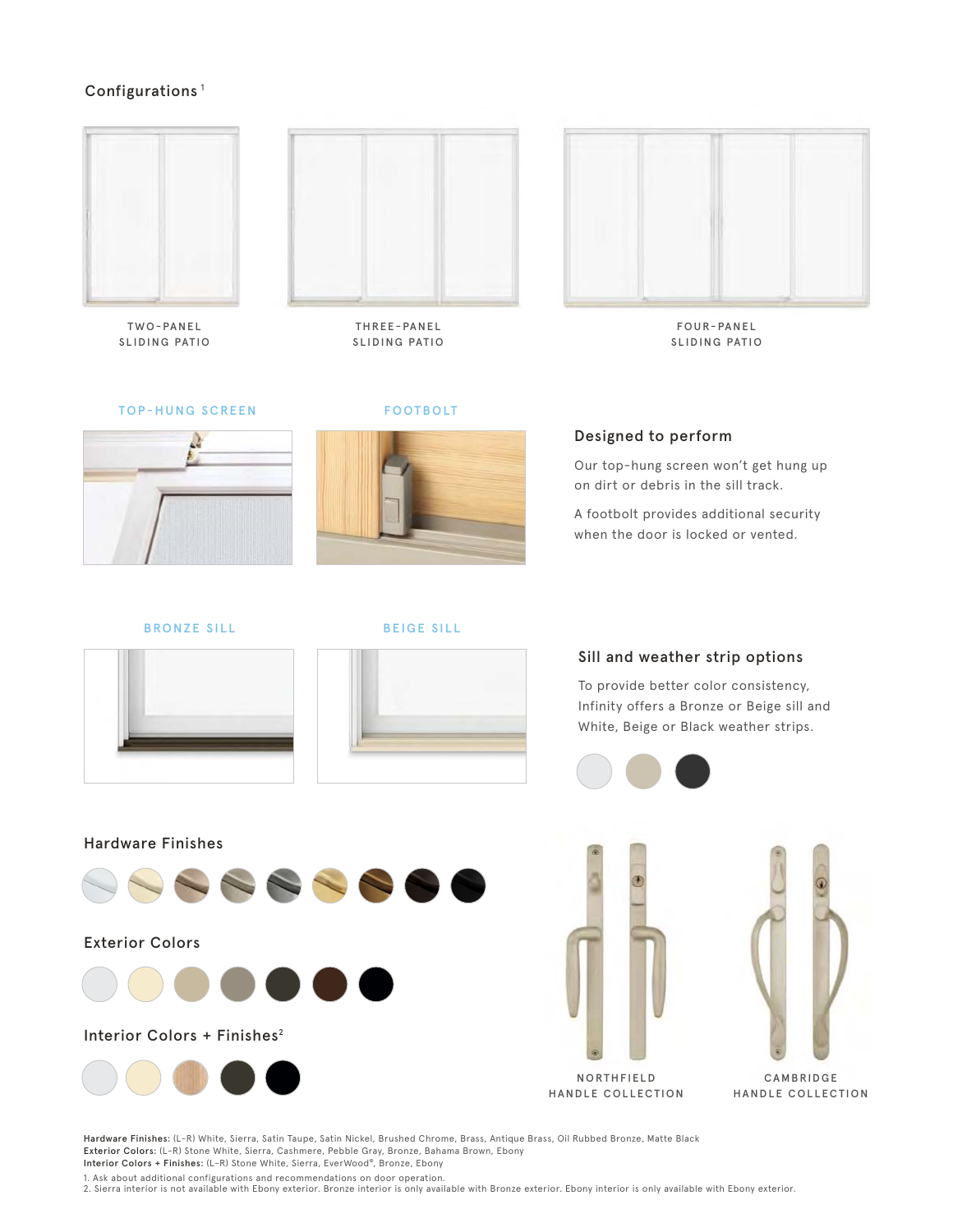#### Configurations<sup>1</sup>



TWO-PANEL SLIDING PATIO



THREE-PANEL SLIDING PATIO



FOUR-PANEL SLIDING PATIO

TOP-HUNG SCREEN



FOOTBOLT



Designed to perform

Our top-hung screen won't get hung up on dirt or debris in the sill track.

A footbolt provides additional security when the door is locked or vented.

BRONZE SILL





#### Sill and weather strip options

To provide better color consistency, Infinity offers a Bronze or Beige sill and White, Beige or Black weather strips.









**CAMBRIDGE** HANDLE COLLECTION

Hardware Finishes: (L-R) White, Sierra, Satin Taupe, Satin Nickel, Brushed Chrome, Brass, Antique Brass, Oil Rubbed Bronze, Matte Black Exterior Colors: (L-R) Stone White, Sierra, Cashmere, Pebble Gray, Bronze, Bahama Brown, Ebony Interior Colors + Finishes: (L-R) Stone White, Sierra, EverWood® , Bronze, Ebony

1. Ask about additional configurations and recommendations on door operation.

2. Sierra interior is not available with Ebony exterior. Bronze interior is only available with Bronze exterior. Ebony interior is only available with Ebony exterior.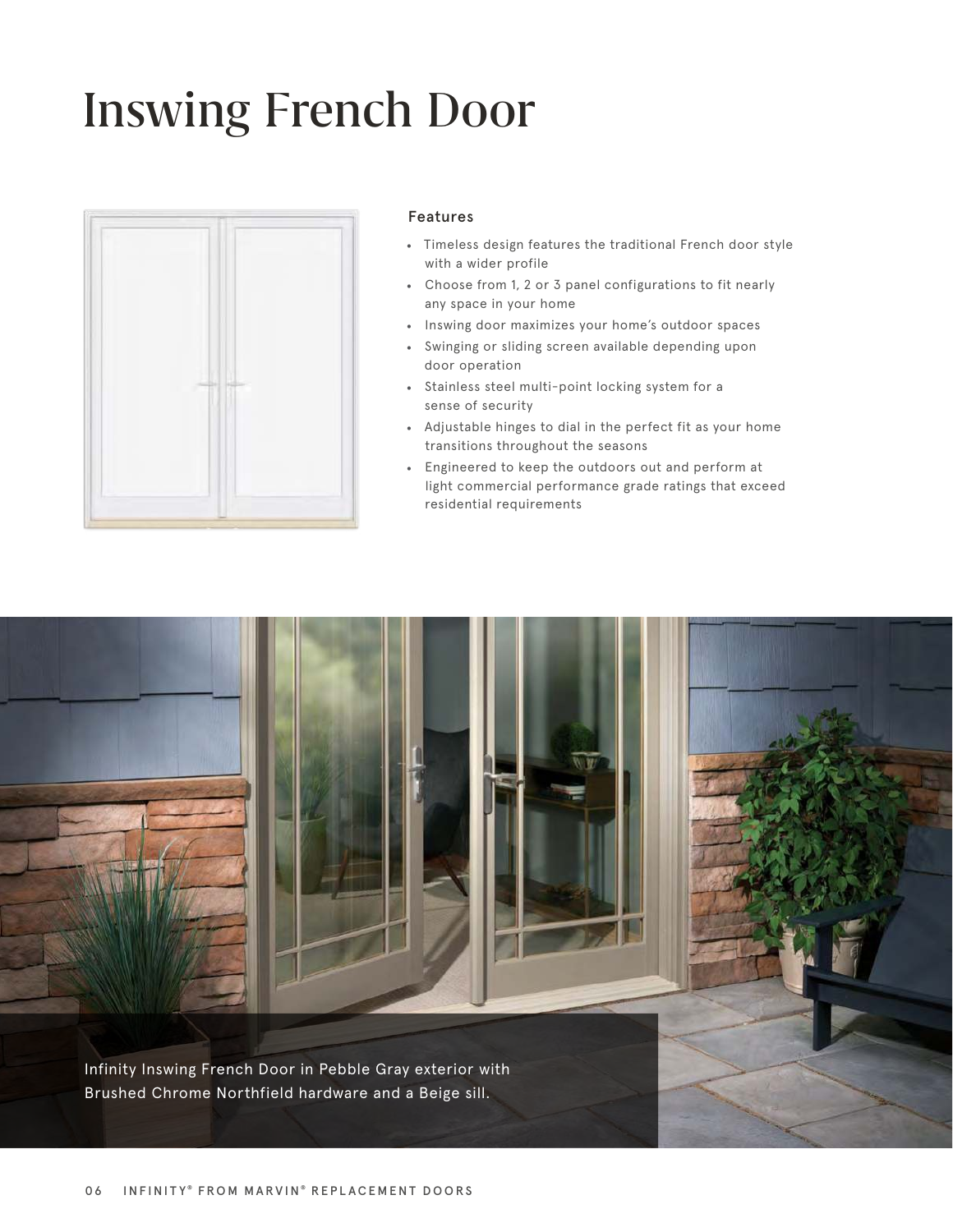### Inswing French Door



#### Features

- Timeless design features the traditional French door style with a wider profile
- Choose from 1, 2 or 3 panel configurations to fit nearly any space in your home
- Inswing door maximizes your home's outdoor spaces
- Swinging or sliding screen available depending upon door operation
- Stainless steel multi-point locking system for a sense of security
- Adjustable hinges to dial in the perfect fit as your home transitions throughout the seasons
- Engineered to keep the outdoors out and perform at light commercial performance grade ratings that exceed residential requirements

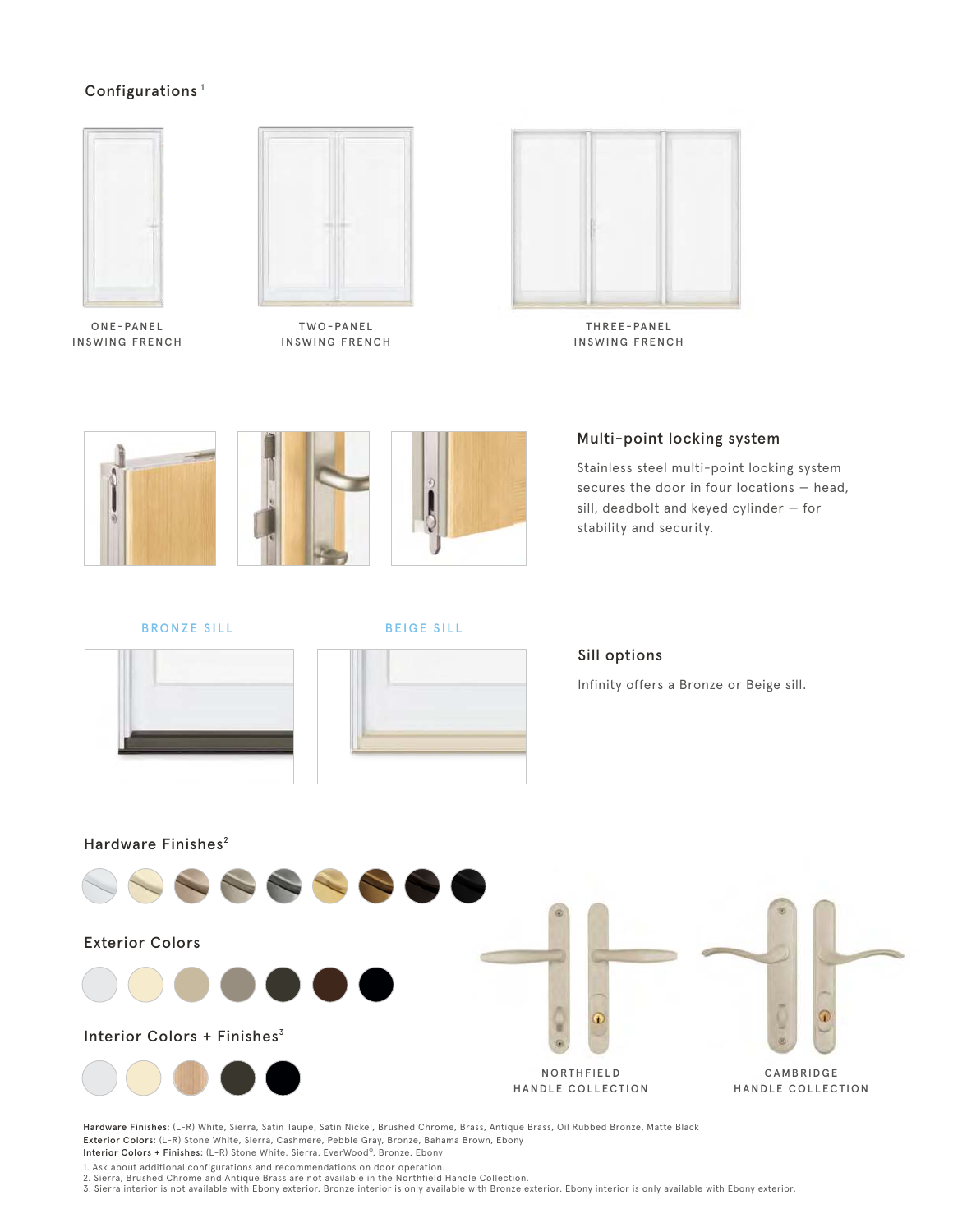#### Configurations<sup>1</sup>



ONE-PANEL INSWING FRENCH



TWO-PANEL INSWING FRENCH



THREE-PANEL INSWING FRENCH



Multi-point locking system

Stainless steel multi-point locking system secures the door in four locations — head, sill, deadbolt and keyed cylinder — for stability and security.

BRONZE SILL BEIGE SILL





#### Sill options

Infinity offers a Bronze or Beige sill.



Hardware Finishes: (L-R) White, Sierra, Satin Taupe, Satin Nickel, Brushed Chrome, Brass, Antique Brass, Oil Rubbed Bronze, Matte Black Exterior Colors: (L-R) Stone White, Sierra, Cashmere, Pebble Gray, Bronze, Bahama Brown, Ebony Interior Colors + Finishes: (L-R) Stone White, Sierra, EverWood® , Bronze, Ebony

1. Ask about additional configurations and recommendations on door operation.

2. Sierra, Brushed Chrome and Antique Brass are not available in the Northfield Handle Collection.

3. Sierra interior is not available with Ebony exterior. Bronze interior is only available with Bronze exterior. Ebony interior is only available with Ebony exterior.